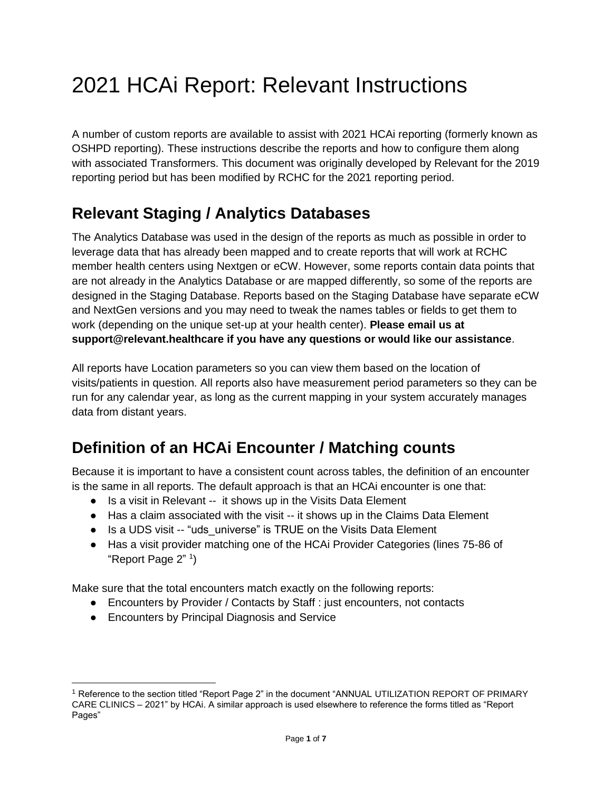# 2021 HCAi Report: Relevant Instructions

A number of custom reports are available to assist with 2021 HCAi reporting (formerly known as OSHPD reporting). These instructions describe the reports and how to configure them along with associated Transformers. This document was originally developed by Relevant for the 2019 reporting period but has been modified by RCHC for the 2021 reporting period.

## **Relevant Staging / Analytics Databases**

The Analytics Database was used in the design of the reports as much as possible in order to leverage data that has already been mapped and to create reports that will work at RCHC member health centers using Nextgen or eCW. However, some reports contain data points that are not already in the Analytics Database or are mapped differently, so some of the reports are designed in the Staging Database. Reports based on the Staging Database have separate eCW and NextGen versions and you may need to tweak the names tables or fields to get them to work (depending on the unique set-up at your health center). **Please email us at support@relevant.healthcare if you have any questions or would like our assistance**.

All reports have Location parameters so you can view them based on the location of visits/patients in question. All reports also have measurement period parameters so they can be run for any calendar year, as long as the current mapping in your system accurately manages data from distant years.

# **Definition of an HCAi Encounter / Matching counts**

Because it is important to have a consistent count across tables, the definition of an encounter is the same in all reports. The default approach is that an HCAi encounter is one that:

- Is a visit in Relevant -- it shows up in the Visits Data Element
- Has a claim associated with the visit -- it shows up in the Claims Data Element
- Is a UDS visit -- "uds universe" is TRUE on the Visits Data Element
- Has a visit provider matching one of the HCAi Provider Categories (lines 75-86 of "Report Page 2" <sup>1</sup>)

Make sure that the total encounters match exactly on the following reports:

- Encounters by Provider / Contacts by Staff : just encounters, not contacts
- Encounters by Principal Diagnosis and Service

<sup>1</sup> Reference to the section titled "Report Page 2" in the document "ANNUAL UTILIZATION REPORT OF PRIMARY CARE CLINICS – 2021" by HCAi. A similar approach is used elsewhere to reference the forms titled as "Report Pages"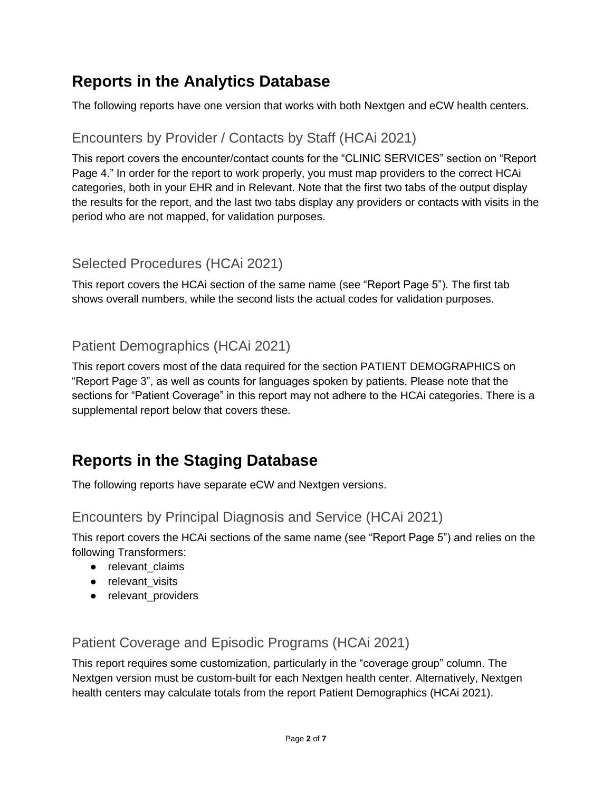### **Reports in the Analytics Database**

The following reports have one version that works with both Nextgen and eCW health centers.

### Encounters by Provider / Contacts by Staff (HCAi 2021)

This report covers the encounter/contact counts for the "CLINIC SERVICES" section on "Report Page 4." In order for the report to work properly, you must map providers to the correct HCAi categories, both in your EHR and in Relevant. Note that the first two tabs of the output display the results for the report, and the last two tabs display any providers or contacts with visits in the period who are not mapped, for validation purposes.

#### Selected Procedures (HCAi 2021)

This report covers the HCAi section of the same name (see "Report Page 5"). The first tab shows overall numbers, while the second lists the actual codes for validation purposes.

#### Patient Demographics (HCAi 2021)

This report covers most of the data required for the section PATIENT DEMOGRAPHICS on "Report Page 3", as well as counts for languages spoken by patients. Please note that the sections for "Patient Coverage" in this report may not adhere to the HCAi categories. There is a supplemental report below that covers these.

### **Reports in the Staging Database**

The following reports have separate eCW and Nextgen versions.

#### Encounters by Principal Diagnosis and Service (HCAi 2021)

This report covers the HCAi sections of the same name (see "Report Page 5") and relies on the following Transformers:

- relevant\_claims
- relevant visits
- relevant\_providers

Patient Coverage and Episodic Programs (HCAi 2021)

This report requires some customization, particularly in the "coverage group" column. The Nextgen version must be custom-built for each Nextgen health center. Alternatively, Nextgen health centers may calculate totals from the report Patient Demographics (HCAi 2021).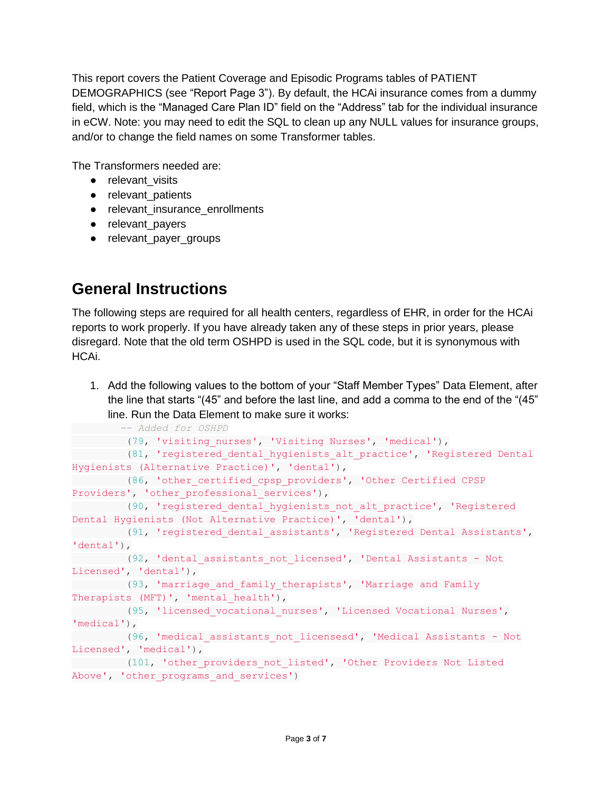This report covers the Patient Coverage and Episodic Programs tables of PATIENT DEMOGRAPHICS (see "Report Page 3"). By default, the HCAi insurance comes from a dummy field, which is the "Managed Care Plan ID" field on the "Address" tab for the individual insurance in eCW. Note: you may need to edit the SQL to clean up any NULL values for insurance groups, and/or to change the field names on some Transformer tables.

The Transformers needed are:

- relevant visits
- relevant\_patients
- relevant\_insurance\_enrollments
- relevant\_payers
- relevant\_payer\_groups

# **General Instructions**

The following steps are required for all health centers, regardless of EHR, in order for the HCAi reports to work properly. If you have already taken any of these steps in prior years, please disregard. Note that the old term OSHPD is used in the SQL code, but it is synonymous with HCAi.

1. Add the following values to the bottom of your "Staff Member Types" Data Element, after the line that starts "(45" and before the last line, and add a comma to the end of the "(45" line. Run the Data Element to make sure it works:

```
 -- Added for OSHPD
 (79, 'visiting_nurses', 'Visiting Nurses', 'medical'),
 (81, 'registered_dental_hygienists_alt_practice', 'Registered Dental 
Hygienists (Alternative Practice)', 'dental'),
        (86, 'other_certified_cpsp_providers', 'Other Certified CPSP 
Providers', 'other professional services'),
       (90, 'registered dental hygienists not alt practice', 'Registered
Dental Hygienists (Not Alternative Practice)', 'dental'),
  (91, 'registered_dental_assistants', 'Registered Dental Assistants', 
'dental'),
        (92, 'dental_assistants_not_licensed', 'Dental Assistants - Not 
Licensed', 'dental'),
 (93, 'marriage_and_family_therapists', 'Marriage and Family 
Therapists (MFT)', 'mental health'),
  (95, 'licensed_vocational_nurses', 'Licensed Vocational Nurses', 
'medical'),
  (96, 'medical_assistants_not_licensesd', 'Medical Assistants - Not 
Licensed', 'medical'),
 (101, 'other_providers_not_listed', 'Other Providers Not Listed 
Above', 'other_programs_and_services')
```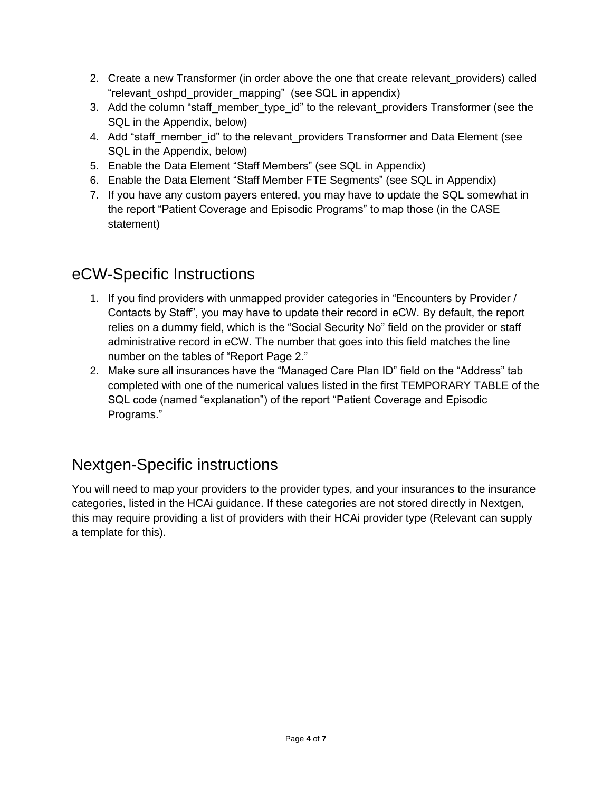- 2. Create a new Transformer (in order above the one that create relevant providers) called "relevant oshpd\_provider mapping" (see SQL in appendix)
- 3. Add the column "staff member type id" to the relevant providers Transformer (see the SQL in the Appendix, below)
- 4. Add "staff member id" to the relevant providers Transformer and Data Element (see SQL in the Appendix, below)
- 5. Enable the Data Element "Staff Members" (see SQL in Appendix)
- 6. Enable the Data Element "Staff Member FTE Segments" (see SQL in Appendix)
- 7. If you have any custom payers entered, you may have to update the SQL somewhat in the report "Patient Coverage and Episodic Programs" to map those (in the CASE statement)

### eCW-Specific Instructions

- 1. If you find providers with unmapped provider categories in "Encounters by Provider / Contacts by Staff", you may have to update their record in eCW. By default, the report relies on a dummy field, which is the "Social Security No" field on the provider or staff administrative record in eCW. The number that goes into this field matches the line number on the tables of "Report Page 2."
- 2. Make sure all insurances have the "Managed Care Plan ID" field on the "Address" tab completed with one of the numerical values listed in the first TEMPORARY TABLE of the SQL code (named "explanation") of the report "Patient Coverage and Episodic Programs."

# Nextgen-Specific instructions

You will need to map your providers to the provider types, and your insurances to the insurance categories, listed in the HCAi guidance. If these categories are not stored directly in Nextgen, this may require providing a list of providers with their HCAi provider type (Relevant can supply a template for this).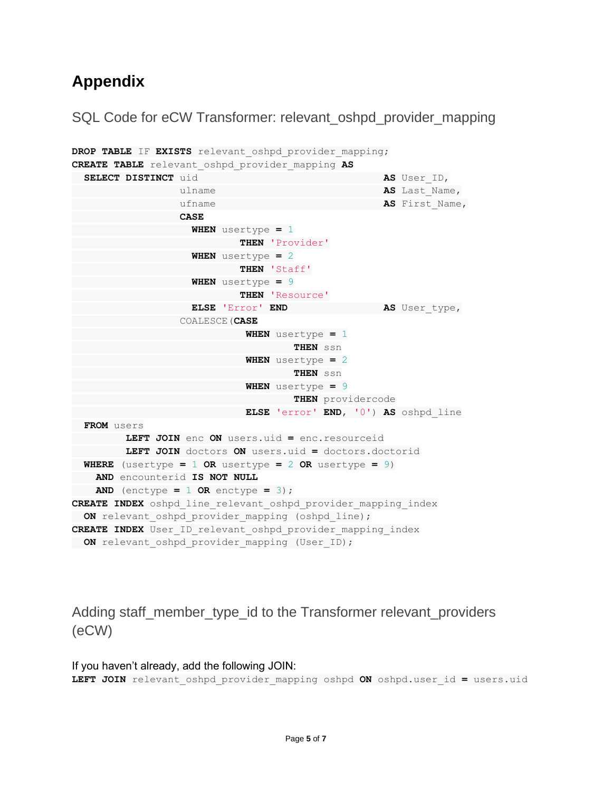### **Appendix**

```
SQL Code for eCW Transformer: relevant_oshpd_provider_mapping
```

```
DROP TABLE IF EXISTS relevant_oshpd_provider_mapping;
CREATE TABLE relevant_oshpd_provider_mapping AS
  SELECT DISTINCT uid AS User_ID,
                ulname AS Last Name,
                ufname AS First Name,
                 CASE
                   WHEN usertype = 1
                         THEN 'Provider'
                   WHEN usertype = 2
                          THEN 'Staff'
                   WHEN usertype = 9
                         THEN 'Resource'
                   ELSE 'Error' END AS User_type,
                 COALESCE(CASE
                           WHEN usertype = 1
                                  THEN ssn
                           WHEN usertype = 2
                                   THEN ssn
                           WHEN usertype = 9
                                THEN providercode
                           ELSE 'error' END, '0') AS oshpd_line
  FROM users
         LEFT JOIN enc ON users.uid = enc.resourceid
         LEFT JOIN doctors ON users.uid = doctors.doctorid
 WHERE (usertype = 1 OR usertype = 2 OR usertype = 9)
    AND encounterid IS NOT NULL
   AND (enctype = 1 OR enctype = 3);
CREATE INDEX oshpd_line_relevant_oshpd_provider_mapping_index
 ON relevant oshpd provider mapping (oshpd line);
CREATE INDEX User_ID_relevant_oshpd_provider_mapping_index
 ON relevant oshpd provider mapping (User ID);
```
Adding staff\_member\_type\_id to the Transformer relevant\_providers (eCW)

```
If you haven't already, add the following JOIN:
LEFT JOIN relevant_oshpd_provider_mapping oshpd ON oshpd.user_id = users.uid
```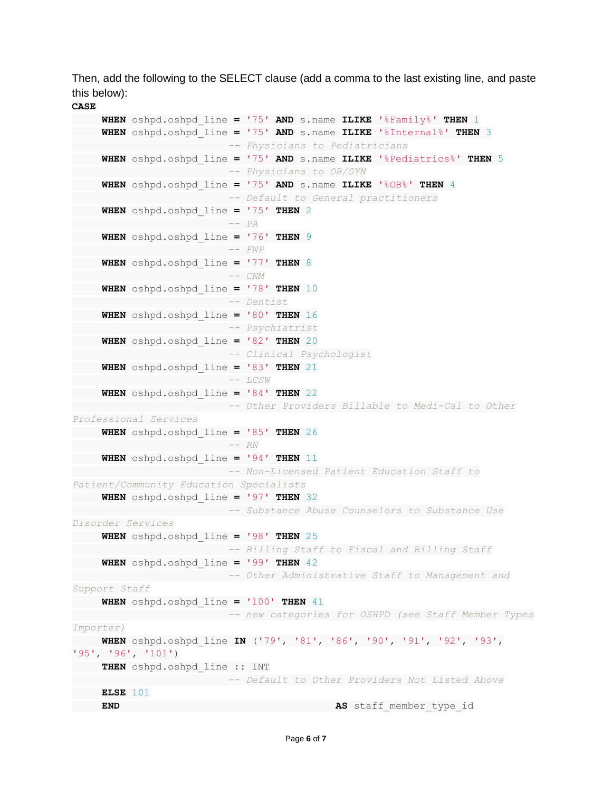Then, add the following to the SELECT clause (add a comma to the last existing line, and paste this below):

**CASE**

```
 WHEN oshpd.oshpd_line = '75' AND s.name ILIKE '%Family%' THEN 1
 WHEN oshpd.oshpd_line = '75' AND s.name ILIKE '%Internal%' THEN 3
                     -- Physicians to Pediatricians
 WHEN oshpd.oshpd_line = '75' AND s.name ILIKE '%Pediatrics%' THEN 5
                      -- Physicians to OB/GYN
 WHEN oshpd.oshpd_line = '75' AND s.name ILIKE '%OB%' THEN 4
                       -- Default to General practitioners
 WHEN oshpd.oshpd_line = '75' THEN 2
                       -- PA
 WHEN oshpd.oshpd_line = '76' THEN 9
                       -- FNP
 WHEN oshpd.oshpd_line = '77' THEN 8
 -- CNM
 WHEN oshpd.oshpd_line = '78' THEN 10
                        -- Dentist
 WHEN oshpd.oshpd_line = '80' THEN 16
                       -- Psychiatrist
 WHEN oshpd.oshpd_line = '82' THEN 20
                       -- Clinical Psychologist
 WHEN oshpd.oshpd_line = '83' THEN 21
                      -- LCSW
 WHEN oshpd.oshpd_line = '84' THEN 22
                     -- Other Providers Billable to Medi-Cal to Other 
Professional Services
 WHEN oshpd.oshpd_line = '85' THEN 26
                      -- RN
 WHEN oshpd.oshpd_line = '94' THEN 11
                       -- Non-Licensed Patient Education Staff to 
Patient/Community Education Specialists
 WHEN oshpd.oshpd_line = '97' THEN 32
                   -- Substance Abuse Counselors to Substance Use 
Disorder Services
 WHEN oshpd.oshpd_line = '98' THEN 25
                  -- Billing Staff to Fiscal and Billing Staff
 WHEN oshpd.oshpd_line = '99' THEN 42
                  -- Other Administrative Staff to Management and 
Support Staff
 WHEN oshpd.oshpd_line = '100' THEN 41
       -- new categories for OSHPD (see Staff Member Types 
Importer)
    WHEN oshpd.oshpd_line IN ('79', '81', '86', '90', '91', '92', '93', 
'95', '96', '101')
 THEN oshpd.oshpd_line :: INT
 -- Default to Other Providers Not Listed Above
 ELSE 101
END AS staff member type id
```